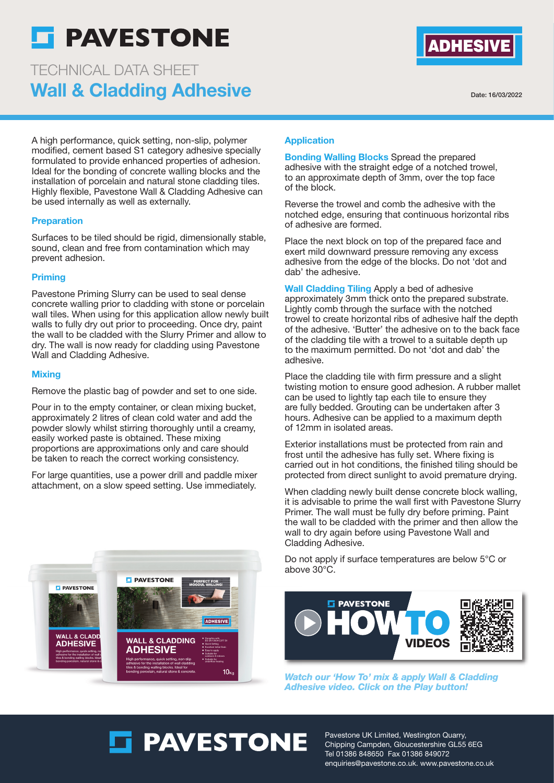

# Wall & Cladding Adhesive TECHNICAL DATA SHEET



Date: 16/03/2022

A high performance, quick setting, non-slip, polymer modified, cement based S1 category adhesive specially formulated to provide enhanced properties of adhesion. Ideal for the bonding of concrete walling blocks and the installation of porcelain and natural stone cladding tiles. Highly flexible, Pavestone Wall & Cladding Adhesive can be used internally as well as externally.

#### **Preparation**

Surfaces to be tiled should be rigid, dimensionally stable, sound, clean and free from contamination which may prevent adhesion.

# Priming

Pavestone Priming Slurry can be used to seal dense concrete walling prior to cladding with stone or porcelain wall tiles. When using for this application allow newly built walls to fully dry out prior to proceeding. Once dry, paint the wall to be cladded with the Slurry Primer and allow to dry. The wall is now ready for cladding using Pavestone Wall and Cladding Adhesive.

# **Mixing**

Remove the plastic bag of powder and set to one side.

Pour in to the empty container, or clean mixing bucket, approximately 2 litres of clean cold water and add the powder slowly whilst stirring thoroughly until a creamy, easily worked paste is obtained. These mixing proportions are approximations only and care should be taken to reach the correct working consistency.

For large quantities, use a power drill and paddle mixer attachment, on a slow speed setting. Use immediately.



Bonding Walling Blocks Spread the prepared adhesive with the straight edge of a notched trowel, to an approximate depth of 3mm, over the top face of the block.

Reverse the trowel and comb the adhesive with the notched edge, ensuring that continuous horizontal ribs of adhesive are formed.

Place the next block on top of the prepared face and exert mild downward pressure removing any excess adhesive from the edge of the blocks. Do not 'dot and dab' the adhesive.

Wall Cladding Tiling Apply a bed of adhesive approximately 3mm thick onto the prepared substrate. Lightly comb through the surface with the notched trowel to create horizontal ribs of adhesive half the depth of the adhesive. 'Butter' the adhesive on to the back face of the cladding tile with a trowel to a suitable depth up to the maximum permitted. Do not 'dot and dab' the adhesive.

Place the cladding tile with firm pressure and a slight twisting motion to ensure good adhesion. A rubber mallet can be used to lightly tap each tile to ensure they are fully bedded. Grouting can be undertaken after 3 hours. Adhesive can be applied to a maximum depth of 12mm in isolated areas.

Exterior installations must be protected from rain and frost until the adhesive has fully set. Where fixing is carried out in hot conditions, the finished tiling should be protected from direct sunlight to avoid premature drying.

When cladding newly built dense concrete block walling, it is advisable to prime the wall first with Pavestone Slurry Primer. The wall must be fully dry before priming. Paint the wall to be cladded with the primer and then allow the wall to dry again before using Pavestone Wall and Cladding Adhesive.

Do not apply if surface temperatures are below 5°C or above 30°C.



**Watch our 'How To' mix & apply Wall & Cladding Adhesive video. Click on the Play button!**



**ET PAVESTONE** 

Pavestone UK Limited, Westington Quarry, Chipping Campden, Gloucestershire GL55 6EG Tel 01386 848650 Fax 01386 849072 enquiries@pavestone.co.uk. www.pavestone.co.uk